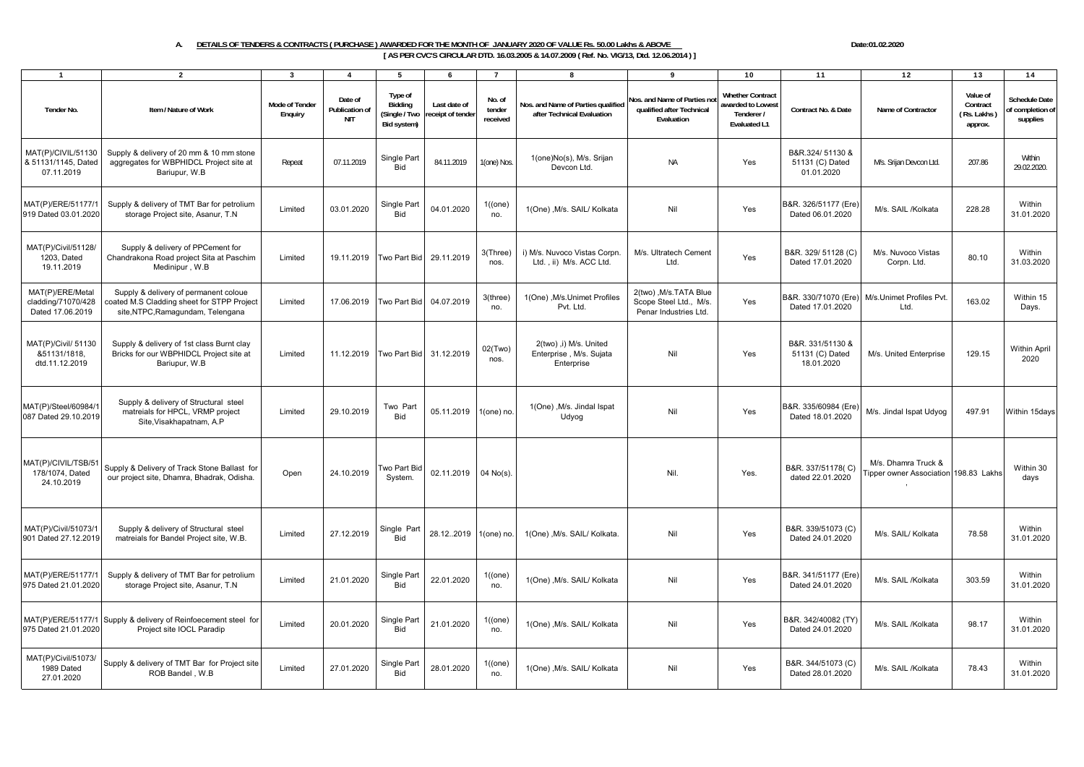## A. DETAILS OF TENDERS & CONTRACTS ( PURCHASE ) AWARDED FOR THE MONTH OF JANUARY 2020 OF VALUE Rs. 50.00 Lakhs & ABOVE DATE:01.02.2020 Date:01.02.2020

**[ AS PER CVC'S CIRCULAR DTD. 16.03.2005 & 14.07.2009 ( Ref. No. VIG/13, Dtd. 12.06.2014 ) ]**

| $\mathbf{1}$                                               | $\overline{2}$                                                                                                           | 3                         | $\overline{\mathbf{A}}$                 | 5                                                  | 6                                 | $\overline{7}$               | 8                                                                | $\mathbf{Q}$                                                              | 10                                                                         | 11                                                | 12                                                           | 13                                             | 14                                           |
|------------------------------------------------------------|--------------------------------------------------------------------------------------------------------------------------|---------------------------|-----------------------------------------|----------------------------------------------------|-----------------------------------|------------------------------|------------------------------------------------------------------|---------------------------------------------------------------------------|----------------------------------------------------------------------------|---------------------------------------------------|--------------------------------------------------------------|------------------------------------------------|----------------------------------------------|
| Tender No.                                                 | Item / Nature of Work                                                                                                    | Mode of Tender<br>Enquiry | Date of<br>Publication of<br><b>NIT</b> | Type of<br>Bidding<br>(Single / Two<br>Bid system) | Last date of<br>receipt of tender | No. of<br>tender<br>received | Nos. and Name of Parties qualified<br>after Technical Evaluation | Nos. and Name of Parties no<br>qualified after Technical<br>Evaluation    | <b>Whether Contract</b><br>awarded to Lowest<br>Tenderer /<br>Evaluated L1 | Contract No. & Date                               | Name of Contractor                                           | Value of<br>Contract<br>(Rs. Lakhs)<br>approx. | Schedule Date<br>f completion of<br>supplies |
| MAT(P)/CIVIL/51130<br>& 51131/1145, Dated<br>07.11.2019    | Supply & delivery of 20 mm & 10 mm stone<br>aggregates for WBPHIDCL Project site at<br>Bariupur, W.B.                    | Repeat                    | 07.11.2019                              | Single Part<br>Bid                                 | 84.11.2019                        | I (one) Nos                  | 1(one)No(s), M/s. Srijan<br>Devcon Ltd.                          | <b>NA</b>                                                                 | Yes                                                                        | B&R.324/51130 &<br>51131 (C) Dated<br>01.01.2020  | M/s. Srijan Devcon Ltd.                                      | 207.86                                         | Within<br>29.02.2020.                        |
| MAT(P)/ERE/51177/<br>919 Dated 03.01.2020                  | Supply & delivery of TMT Bar for petrolium<br>storage Project site, Asanur, T.N                                          | Limited                   | 03.01.2020                              | Single Part<br><b>Bid</b>                          | 04.01.2020                        | 1((one)<br>no.               | 1(One), M/s. SAIL/ Kolkata                                       | Nil                                                                       | Yes                                                                        | B&R. 326/51177 (Ere)<br>Dated 06.01.2020          | M/s. SAIL /Kolkata                                           | 228.28                                         | Within<br>31.01.2020                         |
| MAT(P)/Civil/51128/<br>1203, Dated<br>19.11.2019           | Supply & delivery of PPCement for<br>Chandrakona Road project Sita at Paschim<br>Medinipur, W.B                          | Limited                   | 19.11.2019                              | Two Part Bid                                       | 29.11.2019                        | 3(Three)<br>nos.             | i) M/s. Nuvoco Vistas Corpn<br>Ltd., ii) M/s. ACC Ltd.           | M/s. Ultratech Cement<br>Ltd.                                             | Yes                                                                        | B&R. 329/ 51128 (C)<br>Dated 17.01.2020           | M/s. Nuvoco Vistas<br>Corpn. Ltd.                            | 80.10                                          | Within<br>31.03.2020                         |
| MAT(P)/ERE/Metal<br>cladding/71070/428<br>Dated 17.06.2019 | Supply & delivery of permanent coloue<br>coated M.S Cladding sheet for STPP Project<br>site, NTPC, Ramagundam, Telengana | Limited                   | 17.06.2019                              | Two Part Bid                                       | 04.07.2019                        | 3(three)<br>no.              | 1(One), M/s.Unimet Profiles<br>Pvt. Ltd.                         | 2(two), M/s. TATA Blue<br>Scope Steel Ltd., M/s.<br>Penar Industries Ltd. | Yes                                                                        | B&R. 330/71070 (Ere)<br>Dated 17.01.2020          | M/s.Unimet Profiles Pvt.<br>Ltd.                             | 163.02                                         | Within 15<br>Days.                           |
| MAT(P)/Civil/ 51130<br>&51131/1818,<br>dtd.11.12.2019      | Supply & delivery of 1st class Burnt clay<br>Bricks for our WBPHIDCL Project site at<br>Bariupur, W.B                    | Limited                   | 11.12.2019                              | Two Part Bid                                       | 31.12.2019                        | 02(Two)<br>nos.              | 2(two), i) M/s. United<br>Enterprise, M/s. Sujata<br>Enterprise  | Nil                                                                       | Yes                                                                        | B&R. 331/51130 &<br>51131 (C) Dated<br>18.01.2020 | M/s. United Enterprise                                       | 129.15                                         | Within April<br>2020                         |
| MAT(P)/Steel/60984/<br>087 Dated 29.10.2019                | Supply & delivery of Structural steel<br>matreials for HPCL, VRMP project<br>Site.Visakhapatnam, A.P.                    | Limited                   | 29.10.2019                              | Two Part<br>Bid                                    | 05.11.2019                        | 1(one) no                    | 1(One), M/s. Jindal Ispat<br>Udyog                               | Nil                                                                       | Yes                                                                        | B&R. 335/60984 (Ere)<br>Dated 18.01.2020          | M/s. Jindal Ispat Udyog                                      | 497.91                                         | Within 15days                                |
| MAT(P)/CIVIL/TSB/5<br>178/1074, Dated<br>24.10.2019        | Supply & Delivery of Track Stone Ballast for<br>our project site, Dhamra, Bhadrak, Odisha.                               | Open                      | 24.10.2019                              | Two Part Bio<br>System.                            | 02.11.2019                        | $04$ No(s).                  |                                                                  | Nil.                                                                      | Yes.                                                                       | B&R. 337/51178(C)<br>dated 22.01.2020             | M/s. Dhamra Truck &<br>Tipper owner Association 198.83 Lakhs |                                                | Within 30<br>days                            |
| MAT(P)/Civil/51073/1<br>901 Dated 27.12.2019               | Supply & delivery of Structural steel<br>matreials for Bandel Project site, W.B.                                         | Limited                   | 27.12.2019                              | Single Part<br><b>Bid</b>                          | 28.12.2019                        | 1(one) no                    | 1(One), M/s. SAIL/ Kolkata.                                      | Nil                                                                       | Yes                                                                        | B&R. 339/51073 (C)<br>Dated 24.01.2020            | M/s. SAIL/ Kolkata                                           | 78.58                                          | Within<br>31.01.2020                         |
| MAT(P)/ERE/51177/1<br>975 Dated 21.01.2020                 | Supply & delivery of TMT Bar for petrolium<br>storage Project site, Asanur, T.N.                                         | Limited                   | 21.01.2020                              | Single Part<br>Bid                                 | 22.01.2020                        | 1((one)<br>no.               | 1(One), M/s. SAIL/ Kolkata                                       | Nil                                                                       | Yes                                                                        | B&R. 341/51177 (Ere)<br>Dated 24.01.2020          | M/s. SAIL /Kolkata                                           | 303.59                                         | Within<br>31.01.2020                         |
| MAT(P)/ERE/51177/1<br>975 Dated 21.01.2020                 | Supply & delivery of Reinfoecement steel for<br>Project site IOCL Paradip                                                | Limited                   | 20.01.2020                              | Single Part<br><b>Bid</b>                          | 21.01.2020                        | 1((one)<br>no.               | 1(One), M/s. SAIL/ Kolkata                                       | Nil                                                                       | Yes                                                                        | B&R. 342/40082 (TY)<br>Dated 24.01.2020           | M/s. SAIL /Kolkata                                           | 98.17                                          | Within<br>31.01.2020                         |
| MAT(P)/Civil/51073/<br>1989 Dated<br>27.01.2020            | Supply & delivery of TMT Bar for Project site<br>ROB Bandel, W.B                                                         | Limited                   | 27.01.2020                              | Single Part<br><b>Bid</b>                          | 28.01.2020                        | 1((one)<br>no.               | 1(One), M/s. SAIL/ Kolkata                                       | Nil                                                                       | Yes                                                                        | B&R. 344/51073 (C)<br>Dated 28.01.2020            | M/s. SAIL /Kolkata                                           | 78.43                                          | Within<br>31.01.2020                         |